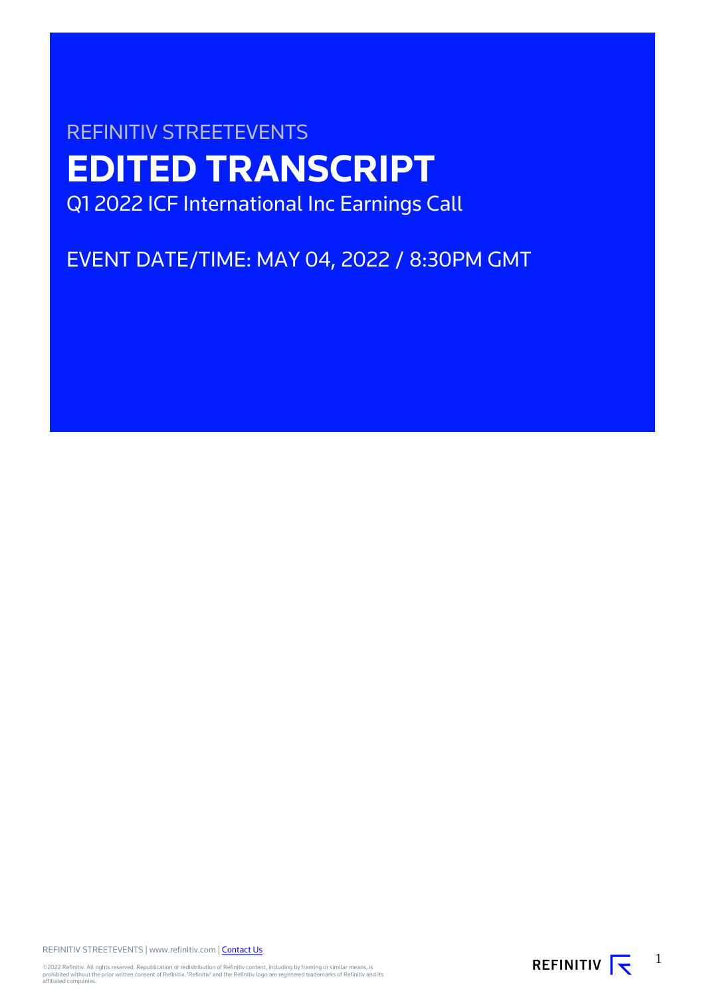# REFINITIV STREETEVENTS **EDITED TRANSCRIPT** Q1 2022 ICF International Inc Earnings Call

EVENT DATE/TIME: MAY 04, 2022 / 8:30PM GMT

REFINITIV STREETEVENTS | www.refinitiv.com | [Contact Us](https://www.refinitiv.com/en/contact-us)

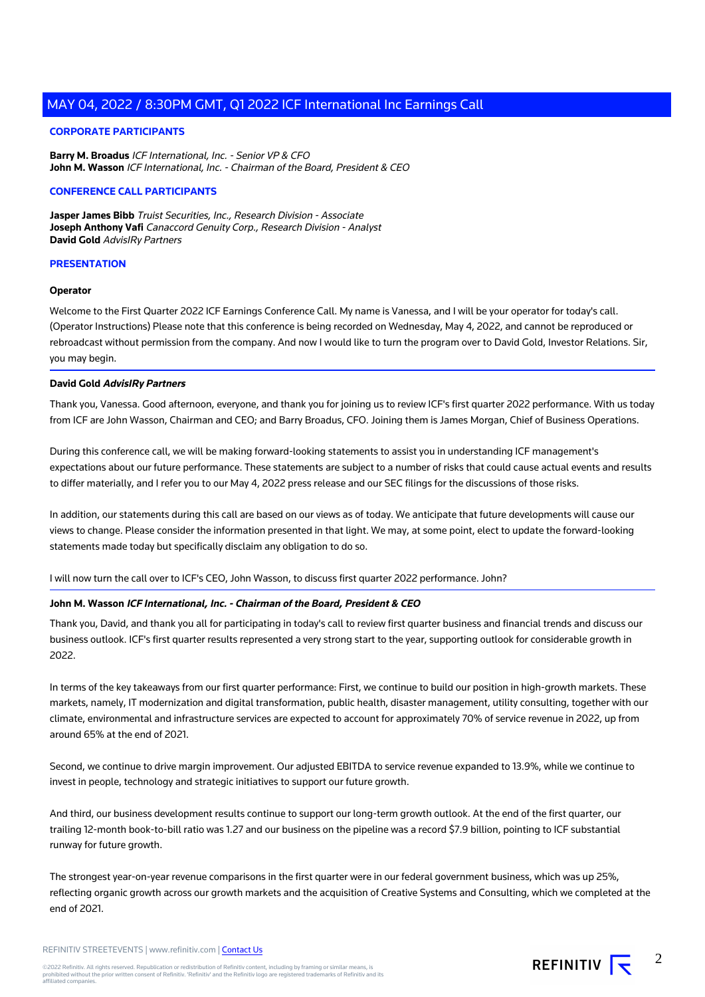## **CORPORATE PARTICIPANTS**

**Barry M. Broadus** ICF International, Inc. - Senior VP & CFO **John M. Wasson** ICF International, Inc. - Chairman of the Board, President & CEO

#### **CONFERENCE CALL PARTICIPANTS**

**Jasper James Bibb** Truist Securities, Inc., Research Division - Associate **Joseph Anthony Vafi** Canaccord Genuity Corp., Research Division - Analyst **David Gold** AdvisIRy Partners

# **PRESENTATION**

#### **Operator**

Welcome to the First Quarter 2022 ICF Earnings Conference Call. My name is Vanessa, and I will be your operator for today's call. (Operator Instructions) Please note that this conference is being recorded on Wednesday, May 4, 2022, and cannot be reproduced or rebroadcast without permission from the company. And now I would like to turn the program over to David Gold, Investor Relations. Sir, you may begin.

#### **David Gold AdvisIRy Partners**

Thank you, Vanessa. Good afternoon, everyone, and thank you for joining us to review ICF's first quarter 2022 performance. With us today from ICF are John Wasson, Chairman and CEO; and Barry Broadus, CFO. Joining them is James Morgan, Chief of Business Operations.

During this conference call, we will be making forward-looking statements to assist you in understanding ICF management's expectations about our future performance. These statements are subject to a number of risks that could cause actual events and results to differ materially, and I refer you to our May 4, 2022 press release and our SEC filings for the discussions of those risks.

In addition, our statements during this call are based on our views as of today. We anticipate that future developments will cause our views to change. Please consider the information presented in that light. We may, at some point, elect to update the forward-looking statements made today but specifically disclaim any obligation to do so.

I will now turn the call over to ICF's CEO, John Wasson, to discuss first quarter 2022 performance. John?

# **John M. Wasson ICF International, Inc. - Chairman of the Board, President & CEO**

Thank you, David, and thank you all for participating in today's call to review first quarter business and financial trends and discuss our business outlook. ICF's first quarter results represented a very strong start to the year, supporting outlook for considerable growth in 2022.

In terms of the key takeaways from our first quarter performance: First, we continue to build our position in high-growth markets. These markets, namely, IT modernization and digital transformation, public health, disaster management, utility consulting, together with our climate, environmental and infrastructure services are expected to account for approximately 70% of service revenue in 2022, up from around 65% at the end of 2021.

Second, we continue to drive margin improvement. Our adjusted EBITDA to service revenue expanded to 13.9%, while we continue to invest in people, technology and strategic initiatives to support our future growth.

And third, our business development results continue to support our long-term growth outlook. At the end of the first quarter, our trailing 12-month book-to-bill ratio was 1.27 and our business on the pipeline was a record \$7.9 billion, pointing to ICF substantial runway for future growth.

The strongest year-on-year revenue comparisons in the first quarter were in our federal government business, which was up 25%, reflecting organic growth across our growth markets and the acquisition of Creative Systems and Consulting, which we completed at the end of 2021.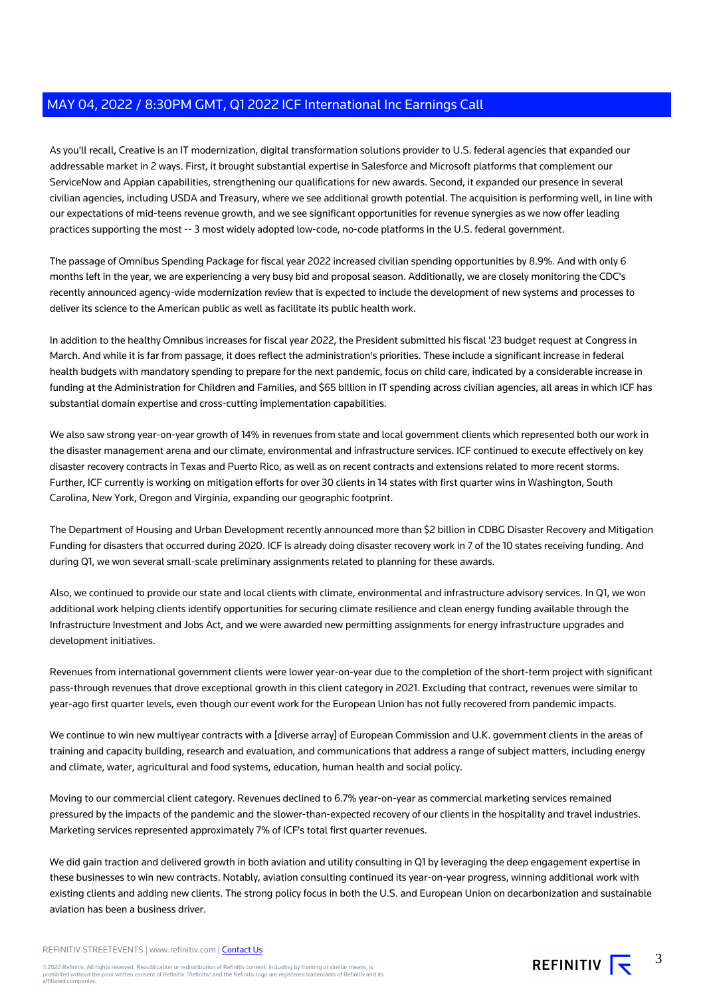As you'll recall, Creative is an IT modernization, digital transformation solutions provider to U.S. federal agencies that expanded our addressable market in 2 ways. First, it brought substantial expertise in Salesforce and Microsoft platforms that complement our ServiceNow and Appian capabilities, strengthening our qualifications for new awards. Second, it expanded our presence in several civilian agencies, including USDA and Treasury, where we see additional growth potential. The acquisition is performing well, in line with our expectations of mid-teens revenue growth, and we see significant opportunities for revenue synergies as we now offer leading practices supporting the most -- 3 most widely adopted low-code, no-code platforms in the U.S. federal government.

The passage of Omnibus Spending Package for fiscal year 2022 increased civilian spending opportunities by 8.9%. And with only 6 months left in the year, we are experiencing a very busy bid and proposal season. Additionally, we are closely monitoring the CDC's recently announced agency-wide modernization review that is expected to include the development of new systems and processes to deliver its science to the American public as well as facilitate its public health work.

In addition to the healthy Omnibus increases for fiscal year 2022, the President submitted his fiscal '23 budget request at Congress in March. And while it is far from passage, it does reflect the administration's priorities. These include a significant increase in federal health budgets with mandatory spending to prepare for the next pandemic, focus on child care, indicated by a considerable increase in funding at the Administration for Children and Families, and \$65 billion in IT spending across civilian agencies, all areas in which ICF has substantial domain expertise and cross-cutting implementation capabilities.

We also saw strong year-on-year growth of 14% in revenues from state and local government clients which represented both our work in the disaster management arena and our climate, environmental and infrastructure services. ICF continued to execute effectively on key disaster recovery contracts in Texas and Puerto Rico, as well as on recent contracts and extensions related to more recent storms. Further, ICF currently is working on mitigation efforts for over 30 clients in 14 states with first quarter wins in Washington, South Carolina, New York, Oregon and Virginia, expanding our geographic footprint.

The Department of Housing and Urban Development recently announced more than \$2 billion in CDBG Disaster Recovery and Mitigation Funding for disasters that occurred during 2020. ICF is already doing disaster recovery work in 7 of the 10 states receiving funding. And during Q1, we won several small-scale preliminary assignments related to planning for these awards.

Also, we continued to provide our state and local clients with climate, environmental and infrastructure advisory services. In Q1, we won additional work helping clients identify opportunities for securing climate resilience and clean energy funding available through the Infrastructure Investment and Jobs Act, and we were awarded new permitting assignments for energy infrastructure upgrades and development initiatives.

Revenues from international government clients were lower year-on-year due to the completion of the short-term project with significant pass-through revenues that drove exceptional growth in this client category in 2021. Excluding that contract, revenues were similar to year-ago first quarter levels, even though our event work for the European Union has not fully recovered from pandemic impacts.

We continue to win new multiyear contracts with a [diverse array] of European Commission and U.K. government clients in the areas of training and capacity building, research and evaluation, and communications that address a range of subject matters, including energy and climate, water, agricultural and food systems, education, human health and social policy.

Moving to our commercial client category. Revenues declined to 6.7% year-on-year as commercial marketing services remained pressured by the impacts of the pandemic and the slower-than-expected recovery of our clients in the hospitality and travel industries. Marketing services represented approximately 7% of ICF's total first quarter revenues.

We did gain traction and delivered growth in both aviation and utility consulting in Q1 by leveraging the deep engagement expertise in these businesses to win new contracts. Notably, aviation consulting continued its year-on-year progress, winning additional work with existing clients and adding new clients. The strong policy focus in both the U.S. and European Union on decarbonization and sustainable aviation has been a business driver.

REFINITIV STREETEVENTS | www.refinitiv.com | [Contact Us](https://www.refinitiv.com/en/contact-us)

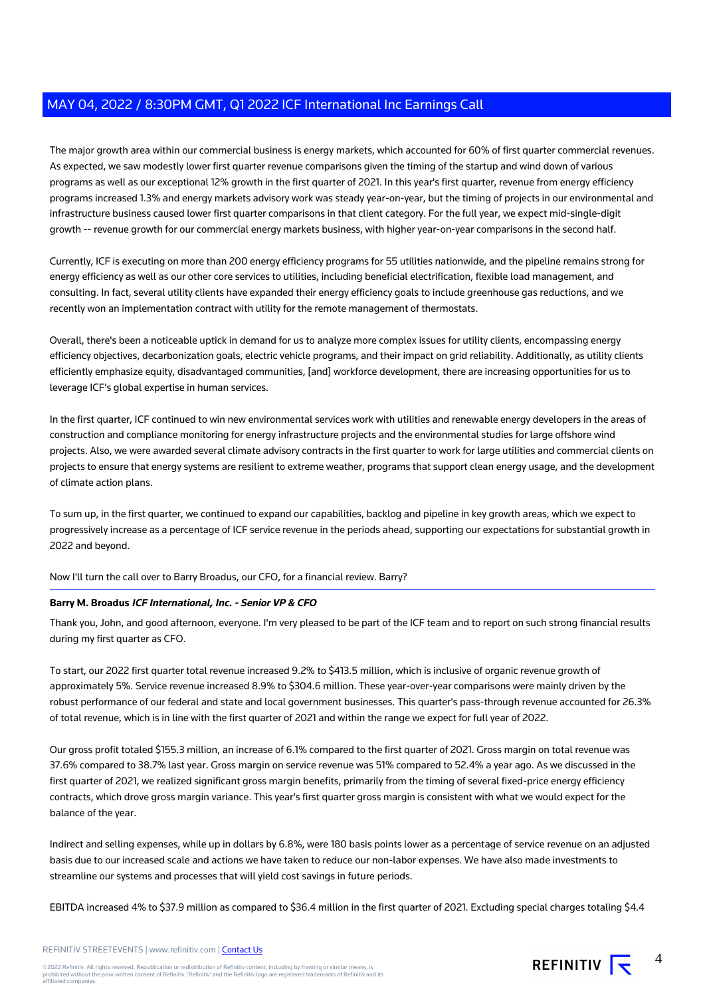The major growth area within our commercial business is energy markets, which accounted for 60% of first quarter commercial revenues. As expected, we saw modestly lower first quarter revenue comparisons given the timing of the startup and wind down of various programs as well as our exceptional 12% growth in the first quarter of 2021. In this year's first quarter, revenue from energy efficiency programs increased 1.3% and energy markets advisory work was steady year-on-year, but the timing of projects in our environmental and infrastructure business caused lower first quarter comparisons in that client category. For the full year, we expect mid-single-digit growth -- revenue growth for our commercial energy markets business, with higher year-on-year comparisons in the second half.

Currently, ICF is executing on more than 200 energy efficiency programs for 55 utilities nationwide, and the pipeline remains strong for energy efficiency as well as our other core services to utilities, including beneficial electrification, flexible load management, and consulting. In fact, several utility clients have expanded their energy efficiency goals to include greenhouse gas reductions, and we recently won an implementation contract with utility for the remote management of thermostats.

Overall, there's been a noticeable uptick in demand for us to analyze more complex issues for utility clients, encompassing energy efficiency objectives, decarbonization goals, electric vehicle programs, and their impact on grid reliability. Additionally, as utility clients efficiently emphasize equity, disadvantaged communities, [and] workforce development, there are increasing opportunities for us to leverage ICF's global expertise in human services.

In the first quarter, ICF continued to win new environmental services work with utilities and renewable energy developers in the areas of construction and compliance monitoring for energy infrastructure projects and the environmental studies for large offshore wind projects. Also, we were awarded several climate advisory contracts in the first quarter to work for large utilities and commercial clients on projects to ensure that energy systems are resilient to extreme weather, programs that support clean energy usage, and the development of climate action plans.

To sum up, in the first quarter, we continued to expand our capabilities, backlog and pipeline in key growth areas, which we expect to progressively increase as a percentage of ICF service revenue in the periods ahead, supporting our expectations for substantial growth in 2022 and beyond.

Now I'll turn the call over to Barry Broadus, our CFO, for a financial review. Barry?

# **Barry M. Broadus ICF International, Inc. - Senior VP & CFO**

Thank you, John, and good afternoon, everyone. I'm very pleased to be part of the ICF team and to report on such strong financial results during my first quarter as CFO.

To start, our 2022 first quarter total revenue increased 9.2% to \$413.5 million, which is inclusive of organic revenue growth of approximately 5%. Service revenue increased 8.9% to \$304.6 million. These year-over-year comparisons were mainly driven by the robust performance of our federal and state and local government businesses. This quarter's pass-through revenue accounted for 26.3% of total revenue, which is in line with the first quarter of 2021 and within the range we expect for full year of 2022.

Our gross profit totaled \$155.3 million, an increase of 6.1% compared to the first quarter of 2021. Gross margin on total revenue was 37.6% compared to 38.7% last year. Gross margin on service revenue was 51% compared to 52.4% a year ago. As we discussed in the first quarter of 2021, we realized significant gross margin benefits, primarily from the timing of several fixed-price energy efficiency contracts, which drove gross margin variance. This year's first quarter gross margin is consistent with what we would expect for the balance of the year.

Indirect and selling expenses, while up in dollars by 6.8%, were 180 basis points lower as a percentage of service revenue on an adjusted basis due to our increased scale and actions we have taken to reduce our non-labor expenses. We have also made investments to streamline our systems and processes that will yield cost savings in future periods.

EBITDA increased 4% to \$37.9 million as compared to \$36.4 million in the first quarter of 2021. Excluding special charges totaling \$4.4

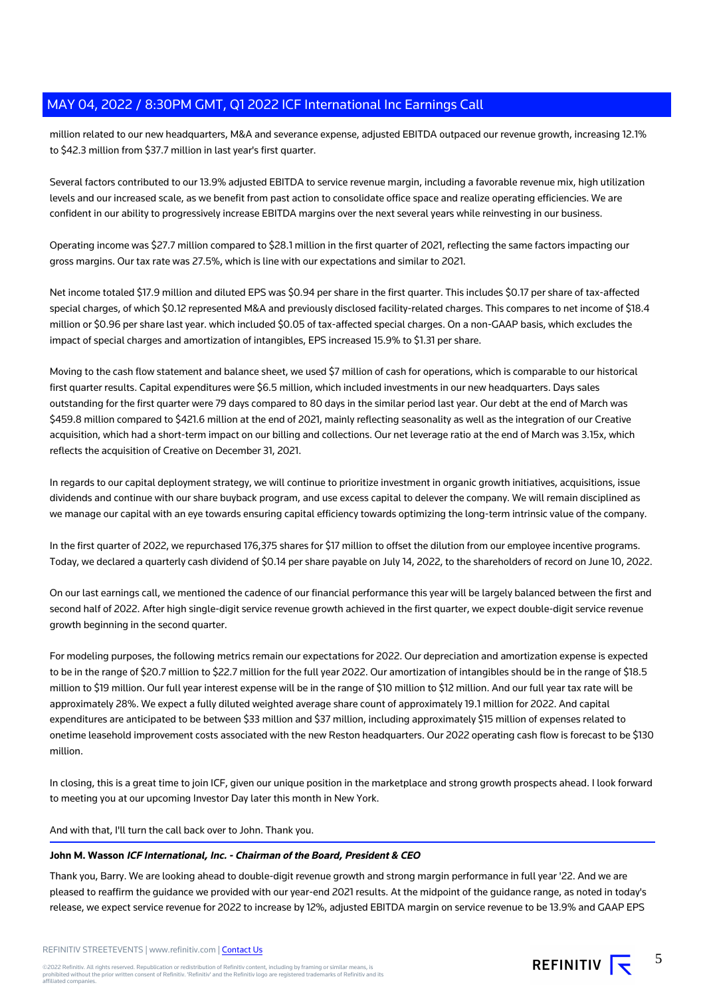million related to our new headquarters, M&A and severance expense, adjusted EBITDA outpaced our revenue growth, increasing 12.1% to \$42.3 million from \$37.7 million in last year's first quarter.

Several factors contributed to our 13.9% adjusted EBITDA to service revenue margin, including a favorable revenue mix, high utilization levels and our increased scale, as we benefit from past action to consolidate office space and realize operating efficiencies. We are confident in our ability to progressively increase EBITDA margins over the next several years while reinvesting in our business.

Operating income was \$27.7 million compared to \$28.1 million in the first quarter of 2021, reflecting the same factors impacting our gross margins. Our tax rate was 27.5%, which is line with our expectations and similar to 2021.

Net income totaled \$17.9 million and diluted EPS was \$0.94 per share in the first quarter. This includes \$0.17 per share of tax-affected special charges, of which \$0.12 represented M&A and previously disclosed facility-related charges. This compares to net income of \$18.4 million or \$0.96 per share last year. which included \$0.05 of tax-affected special charges. On a non-GAAP basis, which excludes the impact of special charges and amortization of intangibles, EPS increased 15.9% to \$1.31 per share.

Moving to the cash flow statement and balance sheet, we used \$7 million of cash for operations, which is comparable to our historical first quarter results. Capital expenditures were \$6.5 million, which included investments in our new headquarters. Days sales outstanding for the first quarter were 79 days compared to 80 days in the similar period last year. Our debt at the end of March was \$459.8 million compared to \$421.6 million at the end of 2021, mainly reflecting seasonality as well as the integration of our Creative acquisition, which had a short-term impact on our billing and collections. Our net leverage ratio at the end of March was 3.15x, which reflects the acquisition of Creative on December 31, 2021.

In regards to our capital deployment strategy, we will continue to prioritize investment in organic growth initiatives, acquisitions, issue dividends and continue with our share buyback program, and use excess capital to delever the company. We will remain disciplined as we manage our capital with an eye towards ensuring capital efficiency towards optimizing the long-term intrinsic value of the company.

In the first quarter of 2022, we repurchased 176,375 shares for \$17 million to offset the dilution from our employee incentive programs. Today, we declared a quarterly cash dividend of \$0.14 per share payable on July 14, 2022, to the shareholders of record on June 10, 2022.

On our last earnings call, we mentioned the cadence of our financial performance this year will be largely balanced between the first and second half of 2022. After high single-digit service revenue growth achieved in the first quarter, we expect double-digit service revenue growth beginning in the second quarter.

For modeling purposes, the following metrics remain our expectations for 2022. Our depreciation and amortization expense is expected to be in the range of \$20.7 million to \$22.7 million for the full year 2022. Our amortization of intangibles should be in the range of \$18.5 million to \$19 million. Our full year interest expense will be in the range of \$10 million to \$12 million. And our full year tax rate will be approximately 28%. We expect a fully diluted weighted average share count of approximately 19.1 million for 2022. And capital expenditures are anticipated to be between \$33 million and \$37 million, including approximately \$15 million of expenses related to onetime leasehold improvement costs associated with the new Reston headquarters. Our 2022 operating cash flow is forecast to be \$130 million.

In closing, this is a great time to join ICF, given our unique position in the marketplace and strong growth prospects ahead. I look forward to meeting you at our upcoming Investor Day later this month in New York.

And with that, I'll turn the call back over to John. Thank you.

# **John M. Wasson ICF International, Inc. - Chairman of the Board, President & CEO**

Thank you, Barry. We are looking ahead to double-digit revenue growth and strong margin performance in full year '22. And we are pleased to reaffirm the guidance we provided with our year-end 2021 results. At the midpoint of the guidance range, as noted in today's release, we expect service revenue for 2022 to increase by 12%, adjusted EBITDA margin on service revenue to be 13.9% and GAAP EPS

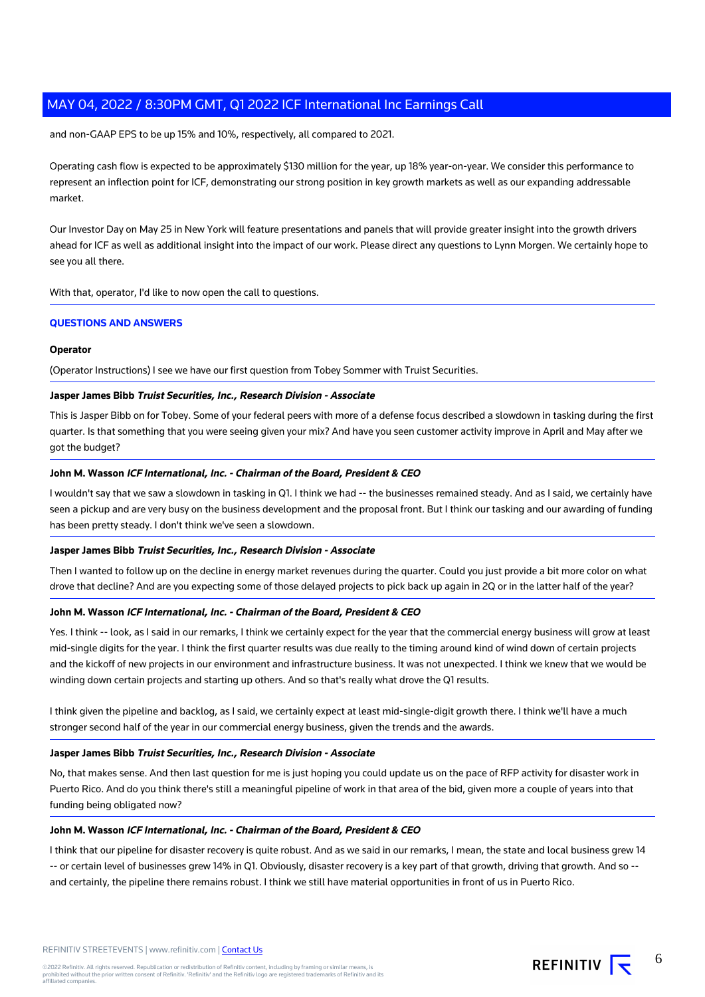and non-GAAP EPS to be up 15% and 10%, respectively, all compared to 2021.

Operating cash flow is expected to be approximately \$130 million for the year, up 18% year-on-year. We consider this performance to represent an inflection point for ICF, demonstrating our strong position in key growth markets as well as our expanding addressable market.

Our Investor Day on May 25 in New York will feature presentations and panels that will provide greater insight into the growth drivers ahead for ICF as well as additional insight into the impact of our work. Please direct any questions to Lynn Morgen. We certainly hope to see you all there.

With that, operator, I'd like to now open the call to questions.

# **QUESTIONS AND ANSWERS**

#### **Operator**

(Operator Instructions) I see we have our first question from Tobey Sommer with Truist Securities.

# **Jasper James Bibb Truist Securities, Inc., Research Division - Associate**

This is Jasper Bibb on for Tobey. Some of your federal peers with more of a defense focus described a slowdown in tasking during the first quarter. Is that something that you were seeing given your mix? And have you seen customer activity improve in April and May after we got the budget?

# **John M. Wasson ICF International, Inc. - Chairman of the Board, President & CEO**

I wouldn't say that we saw a slowdown in tasking in Q1. I think we had -- the businesses remained steady. And as I said, we certainly have seen a pickup and are very busy on the business development and the proposal front. But I think our tasking and our awarding of funding has been pretty steady. I don't think we've seen a slowdown.

#### **Jasper James Bibb Truist Securities, Inc., Research Division - Associate**

Then I wanted to follow up on the decline in energy market revenues during the quarter. Could you just provide a bit more color on what drove that decline? And are you expecting some of those delayed projects to pick back up again in 2Q or in the latter half of the year?

#### **John M. Wasson ICF International, Inc. - Chairman of the Board, President & CEO**

Yes. I think -- look, as I said in our remarks, I think we certainly expect for the year that the commercial energy business will grow at least mid-single digits for the year. I think the first quarter results was due really to the timing around kind of wind down of certain projects and the kickoff of new projects in our environment and infrastructure business. It was not unexpected. I think we knew that we would be winding down certain projects and starting up others. And so that's really what drove the Q1 results.

I think given the pipeline and backlog, as I said, we certainly expect at least mid-single-digit growth there. I think we'll have a much stronger second half of the year in our commercial energy business, given the trends and the awards.

#### **Jasper James Bibb Truist Securities, Inc., Research Division - Associate**

No, that makes sense. And then last question for me is just hoping you could update us on the pace of RFP activity for disaster work in Puerto Rico. And do you think there's still a meaningful pipeline of work in that area of the bid, given more a couple of years into that funding being obligated now?

#### **John M. Wasson ICF International, Inc. - Chairman of the Board, President & CEO**

I think that our pipeline for disaster recovery is quite robust. And as we said in our remarks, I mean, the state and local business grew 14 -- or certain level of businesses grew 14% in Q1. Obviously, disaster recovery is a key part of that growth, driving that growth. And so - and certainly, the pipeline there remains robust. I think we still have material opportunities in front of us in Puerto Rico.

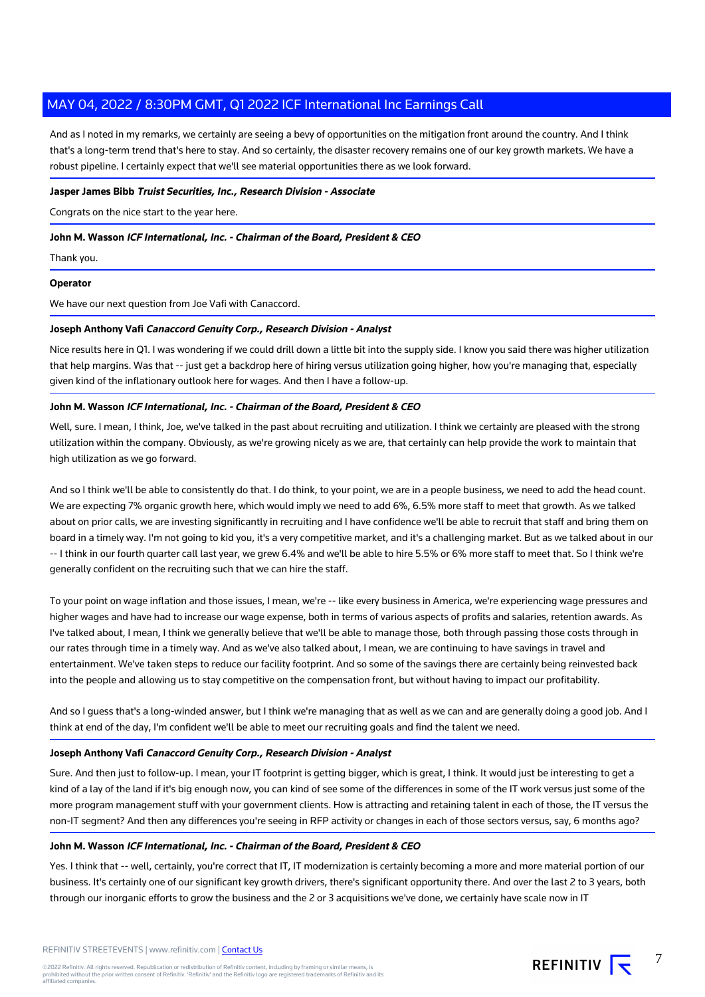And as I noted in my remarks, we certainly are seeing a bevy of opportunities on the mitigation front around the country. And I think that's a long-term trend that's here to stay. And so certainly, the disaster recovery remains one of our key growth markets. We have a robust pipeline. I certainly expect that we'll see material opportunities there as we look forward.

## **Jasper James Bibb Truist Securities, Inc., Research Division - Associate**

Congrats on the nice start to the year here.

## **John M. Wasson ICF International, Inc. - Chairman of the Board, President & CEO**

Thank you.

#### **Operator**

We have our next question from Joe Vafi with Canaccord.

# **Joseph Anthony Vafi Canaccord Genuity Corp., Research Division - Analyst**

Nice results here in Q1. I was wondering if we could drill down a little bit into the supply side. I know you said there was higher utilization that help margins. Was that -- just get a backdrop here of hiring versus utilization going higher, how you're managing that, especially given kind of the inflationary outlook here for wages. And then I have a follow-up.

# **John M. Wasson ICF International, Inc. - Chairman of the Board, President & CEO**

Well, sure. I mean, I think, Joe, we've talked in the past about recruiting and utilization. I think we certainly are pleased with the strong utilization within the company. Obviously, as we're growing nicely as we are, that certainly can help provide the work to maintain that high utilization as we go forward.

And so I think we'll be able to consistently do that. I do think, to your point, we are in a people business, we need to add the head count. We are expecting 7% organic growth here, which would imply we need to add 6%, 6.5% more staff to meet that growth. As we talked about on prior calls, we are investing significantly in recruiting and I have confidence we'll be able to recruit that staff and bring them on board in a timely way. I'm not going to kid you, it's a very competitive market, and it's a challenging market. But as we talked about in our -- I think in our fourth quarter call last year, we grew 6.4% and we'll be able to hire 5.5% or 6% more staff to meet that. So I think we're generally confident on the recruiting such that we can hire the staff.

To your point on wage inflation and those issues, I mean, we're -- like every business in America, we're experiencing wage pressures and higher wages and have had to increase our wage expense, both in terms of various aspects of profits and salaries, retention awards. As I've talked about, I mean, I think we generally believe that we'll be able to manage those, both through passing those costs through in our rates through time in a timely way. And as we've also talked about, I mean, we are continuing to have savings in travel and entertainment. We've taken steps to reduce our facility footprint. And so some of the savings there are certainly being reinvested back into the people and allowing us to stay competitive on the compensation front, but without having to impact our profitability.

And so I guess that's a long-winded answer, but I think we're managing that as well as we can and are generally doing a good job. And I think at end of the day, I'm confident we'll be able to meet our recruiting goals and find the talent we need.

# **Joseph Anthony Vafi Canaccord Genuity Corp., Research Division - Analyst**

Sure. And then just to follow-up. I mean, your IT footprint is getting bigger, which is great, I think. It would just be interesting to get a kind of a lay of the land if it's big enough now, you can kind of see some of the differences in some of the IT work versus just some of the more program management stuff with your government clients. How is attracting and retaining talent in each of those, the IT versus the non-IT segment? And then any differences you're seeing in RFP activity or changes in each of those sectors versus, say, 6 months ago?

#### **John M. Wasson ICF International, Inc. - Chairman of the Board, President & CEO**

Yes. I think that -- well, certainly, you're correct that IT, IT modernization is certainly becoming a more and more material portion of our business. It's certainly one of our significant key growth drivers, there's significant opportunity there. And over the last 2 to 3 years, both through our inorganic efforts to grow the business and the 2 or 3 acquisitions we've done, we certainly have scale now in IT